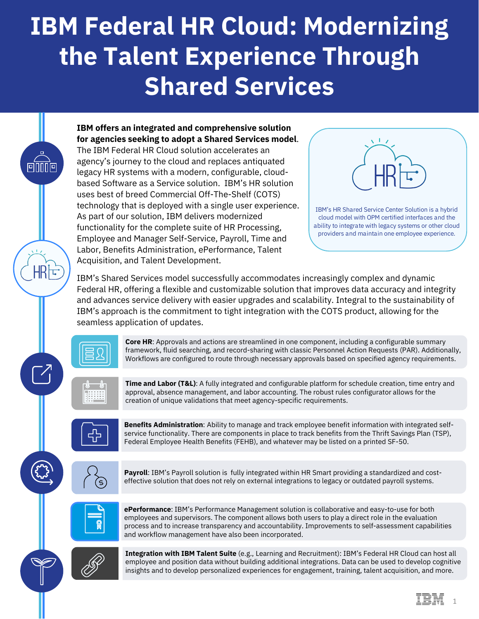## **IBM Federal HR Cloud: Modernizing the Talent Experience Through Shared Services**

**IBM offers an integrated and comprehensive solution for agencies seeking to adopt a Shared Services model**. The IBM Federal HR Cloud solution accelerates an agency's journey to the cloud and replaces antiquated legacy HR systems with a modern, configurable, cloudbased Software as a Service solution. IBM's HR solution uses best of breed Commercial Off-The-Shelf (COTS) technology that is deployed with a single user experience. As part of our solution, IBM delivers modernized

functionality for the complete suite of HR Processing, Employee and Manager Self-Service, Payroll, Time and Labor, Benefits Administration, ePerformance, Talent Acquisition, and Talent Development.



IBM's Shared Services model successfully accommodates increasingly complex and dynamic Federal HR, offering a flexible and customizable solution that improves data accuracy and integrity and advances service delivery with easier upgrades and scalability. Integral to the sustainability of IBM's approach is the commitment to tight integration with the COTS product, allowing for the seamless application of updates.



 $\sqrt{17}$ 

НR

 $\lceil \cfrac{7}{5} \rceil$ 

**Core HR**: Approvals and actions are streamlined in one component, including a configurable summary framework, fluid searching, and record-sharing with classic Personnel Action Requests (PAR). Additionally, Workflows are configured to route through necessary approvals based on specified agency requirements.



**Time and Labor (T&L)**: A fully integrated and configurable platform for schedule creation, time entry and approval, absence management, and labor accounting. The robust rules configurator allows for the creation of unique validations that meet agency-specific requirements.



**Benefits Administration**: Ability to manage and track employee benefit information with integrated selfservice functionality. There are components in place to track benefits from the Thrift Savings Plan (TSP), Federal Employee Health Benefits (FEHB), and whatever may be listed on a printed SF-50.



**Payroll**: IBM's Payroll solution is fully integrated within HR Smart providing a standardized and costeffective solution that does not rely on external integrations to legacy or outdated payroll systems.



**ePerformance**: IBM's Performance Management solution is collaborative and easy-to-use for both employees and supervisors. The component allows both users to play a direct role in the evaluation process and to increase transparency and accountability. Improvements to self-assessment capabilities and workflow management have also been incorporated.



**Integration with IBM Talent Suite** (e.g., Learning and Recruitment): IBM's Federal HR Cloud can host all employee and position data without building additional integrations. Data can be used to develop cognitive insights and to develop personalized experiences for engagement, training, talent acquisition, and more.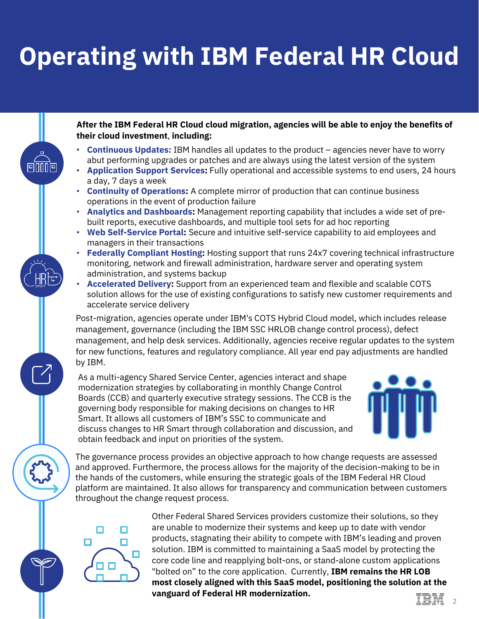## **Operating with IBM Federal HR Cloud**

**After the IBM Federal HR Cloud cloud migration, agencies will be able to enjoy the benefits of their cloud investment**, **including:**

- **Continuous Updates:** IBM handles all updates to the product agencies never have to worry abut performing upgrades or patches and are always using the latest version of the system
- **Application Support Services:** Fully operational and accessible systems to end users, 24 hours a day, 7 days a week
- **Continuity of Operations:** A complete mirror of production that can continue business operations in the event of production failure
- **Analytics and Dashboards:** Management reporting capability that includes a wide set of prebuilt reports, executive dashboards, and multiple tool sets for ad hoc reporting
- **Web Self-Service Portal:** Secure and intuitive self-service capability to aid employees and managers in their transactions
- **Federally Compliant Hosting:** Hosting support that runs 24x7 covering technical infrastructure monitoring, network and firewall administration, hardware server and operating system administration, and systems backup
- **Accelerated Delivery:** Support from an experienced team and flexible and scalable COTS solution allows for the use of existing configurations to satisfy new customer requirements and accelerate service delivery

Post-migration, agencies operate under IBM's COTS Hybrid Cloud model, which includes release management, governance (including the IBM SSC HRLOB change control process), defect management, and help desk services. Additionally, agencies receive regular updates to the system for new functions, features and regulatory compliance. All year end pay adjustments are handled by IBM.

As a multi-agency Shared Service Center, agencies interact and shape modernization strategies by collaborating in monthly Change Control Boards (CCB) and quarterly executive strategy sessions. The CCB is the governing body responsible for making decisions on changes to HR Smart. It allows all customers of IBM's SSC to communicate and discuss changes to HR Smart through collaboration and discussion, and obtain feedback and input on priorities of the system.



The governance process provides an objective approach to how change requests are assessed and approved. Furthermore, the process allows for the majority of the decision-making to be in the hands of the customers, while ensuring the strategic goals of the IBM Federal HR Cloud platform are maintained. It also allows for transparency and communication between customers throughout the change request process.



Other Federal Shared Services providers customize their solutions, so they are unable to modernize their systems and keep up to date with vendor products, stagnating their ability to compete with IBM's leading and proven solution. IBM is committed to maintaining a SaaS model by protecting the core code line and reapplying bolt-ons, or stand-alone custom applications "bolted on" to the core application. Currently, **IBM remains the HR LOB most closely aligned with this SaaS model, positioning the solution at the vanguard of Federal HR modernization.** 

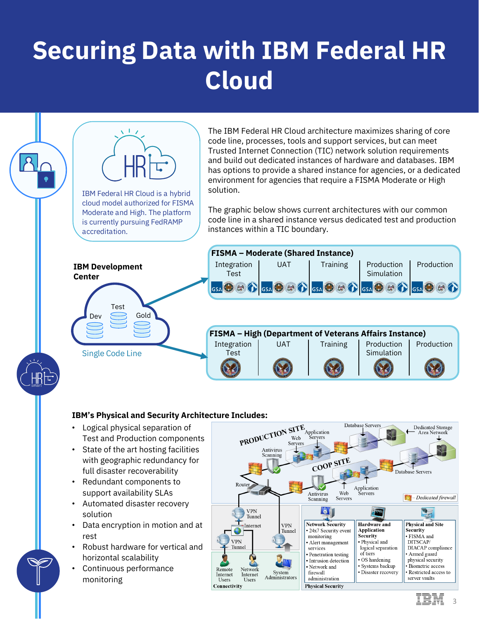## **Securing Data with IBM Federal HR Cloud**



- Logical physical separation of Test and Production components
- State of the art hosting facilities with geographic redundancy for full disaster recoverability
- Redundant components to support availability SLAs
- Automated disaster recovery solution
- Data encryption in motion and at rest
- Robust hardware for vertical and horizontal scalability
- Continuous performance monitoring



3